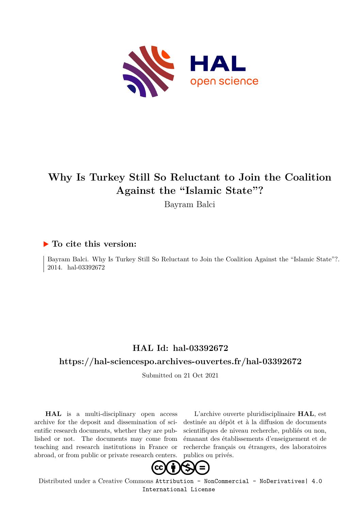

## **Why Is Turkey Still So Reluctant to Join the Coalition Against the "Islamic State"?**

Bayram Balci

#### **To cite this version:**

Bayram Balci. Why Is Turkey Still So Reluctant to Join the Coalition Against the "Islamic State"?. 2014. hal-03392672

### **HAL Id: hal-03392672**

#### **<https://hal-sciencespo.archives-ouvertes.fr/hal-03392672>**

Submitted on 21 Oct 2021

**HAL** is a multi-disciplinary open access archive for the deposit and dissemination of scientific research documents, whether they are published or not. The documents may come from teaching and research institutions in France or abroad, or from public or private research centers.

L'archive ouverte pluridisciplinaire **HAL**, est destinée au dépôt et à la diffusion de documents scientifiques de niveau recherche, publiés ou non, émanant des établissements d'enseignement et de recherche français ou étrangers, des laboratoires publics ou privés.



Distributed under a Creative Commons [Attribution - NonCommercial - NoDerivatives| 4.0](http://creativecommons.org/licenses/by-nc-nd/4.0/) [International License](http://creativecommons.org/licenses/by-nc-nd/4.0/)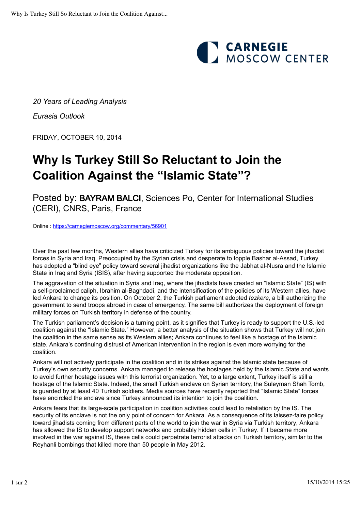# CARNEGIE MOSCOW CENTER

*20 Years of Leading Analysis*

*Eurasia Outlook*

FRIDAY, OCTOBER 10, 2014

# **Why Is Turkey Still So Reluctant to Join the Coalition Against the "Islamic State"?**

Posted by: BAYRAM BALCI, Sciences Po, Center for International Studies (CERI), CNRS, Paris, France

Online :<https://carnegiemoscow.org/commentary/56901>

Over the past few months, Western allies have criticized Turkey for its ambiguous policies toward the jihadist forces in Syria and Iraq. Preoccupied by the Syrian crisis and desperate to topple Bashar al-Assad, Turkey has adopted a "blind eye" policy toward several jihadist organizations like the Jabhat al-Nusra and the Islamic State in Iraq and Syria (ISIS), after having supported the moderate opposition.

The aggravation of the situation in Syria and Iraq, where the jihadists have created an "Islamic State" (IS) with a self-proclaimed caliph, Ibrahim al-Baghdadi, and the intensification of the policies of its Western allies, have led Ankara to change its position. On October 2, the Turkish parliament adopted *tezkere*, a bill authorizing the government to send troops abroad in case of emergency. The same bill authorizes the deployment of foreign military forces on Turkish territory in defense of the country.

The Turkish parliament's decision is a turning point, as it signifies that Turkey is ready to support the U.S.-led coalition against the "Islamic State." However, a better analysis of the situation shows that Turkey will not join the coalition in the same sense as its Western allies; Ankara continues to feel like a hostage of the Islamic state. Ankara's continuing distrust of American intervention in the region is even more worrying for the coalition.

Ankara will not actively participate in the coalition and in its strikes against the Islamic state because of Turkey's own security concerns. Ankara managed to release the hostages held by the Islamic State and wants to avoid further hostage issues with this terrorist organization. Yet, to a large extent, Turkey itself is still a hostage of the Islamic State. Indeed, the small Turkish enclave on Syrian territory, the Suleyman Shah Tomb, is guarded by at least 40 Turkish soldiers. Media sources have recently reported that "Islamic State" forces have encircled the enclave since Turkey announced its intention to join the coalition.

Ankara fears that its large-scale participation in coalition activities could lead to retaliation by the IS. The security of its enclave is not the only point of concern for Ankara. As a consequence of its laissez-faire policy toward jihadists coming from different parts of the world to join the war in Syria via Turkish territory, Ankara has allowed the IS to develop support networks and probably hidden cells in Turkey. If it became more involved in the war against IS, these cells could perpetrate terrorist attacks on Turkish territory, similar to the Reyhanli bombings that killed more than 50 people in May 2012.